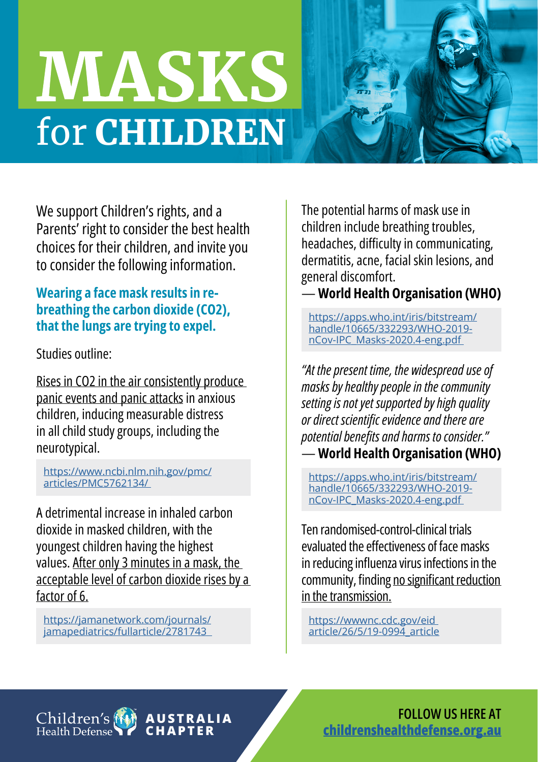# **MASKS** for CHILDREN

We support Children's rights, and a Parents' right to consider the best health choices for their children, and invite you to consider the following information.

## Wearing a face mask results in rebreathing the carbon dioxide (CO2), that the lungs are trying to expel.

Studies outline:

Rises in CO2 in the air consistently produce panic events and panic attacks in anxious children, inducing measurable distress in all child study groups, including the neurotypical.

https://www.ncbi.nlm.nih.gov/pmc/ articles/PMC5762134/

A detrimental increase in inhaled carbon dioxide in masked children, with the youngest children having the highest values. After only 3 minutes in a mask, the acceptable level of carbon dioxide rises by a factor of 6.

> **AUSTRALIA C H A P T E R**

https://jamanetwork.com/journals/ jamapediatrics/fullarticle/2781743

The potential harms of mask use in children include breathing troubles, headaches, difficulty in communicating, dermatitis, acne, facial skin lesions, and general discomfort.

— World Health Organisation (WHO)

https://apps.who.int/iris/bitstream/ handle/10665/332293/WHO-2019 nCov-IPC\_Masks-2020.4-eng.pdf

*"At the present time, the widespread use of masks by healthy people in the community setting is not yet supported by high quality or direct scientific evidence and there are potential benefits and harms to consider."*

— World Health Organisation (WHO)

https://apps.who.int/iris/bitstream/ handle/10665/332293/WHO-2019 nCov-IPC\_Masks-2020.4-eng.pdf

Ten randomised-control-clinical trials evaluated the effectiveness of face masks in reducing influenza virus infections in the community, finding no significant reduction in the transmission.

https://wwwnc.cdc.gov/eid article/26/5/19-0994\_article

Children's Health Defense

FOLLOW US HERE AT childrenshealthdefense.org.au